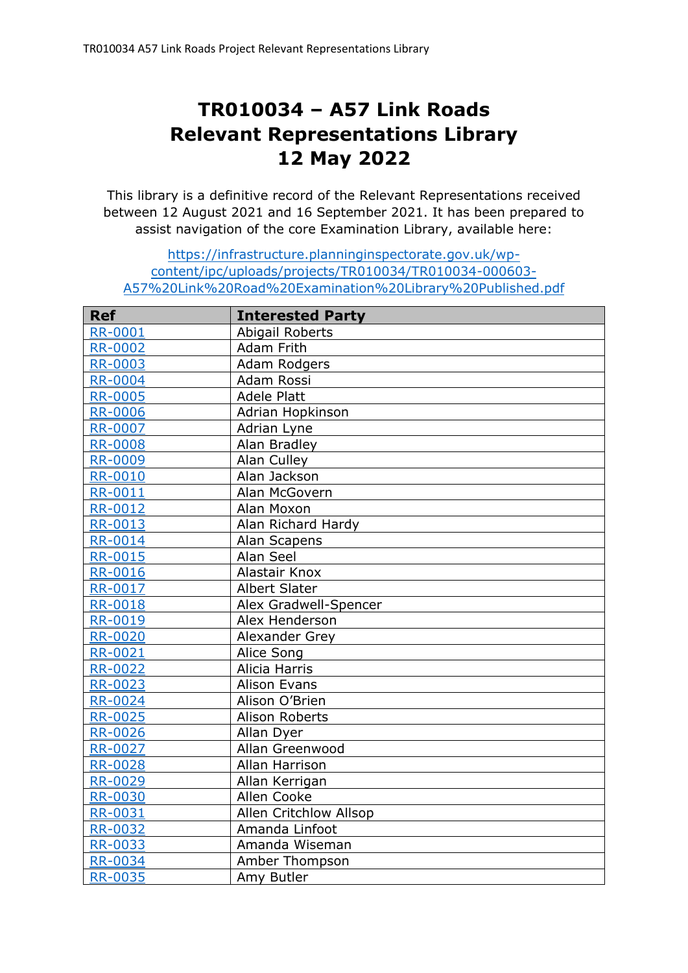## **TR010034 – A57 Link Roads Relevant Representations Library 12 May 2022**

This library is a definitive record of the Relevant Representations received between 12 August 2021 and 16 September 2021. It has been prepared to assist navigation of the core Examination Library, available here:

## [https://infrastructure.planninginspectorate.gov.uk/wp](https://infrastructure.planninginspectorate.gov.uk/wp-content/ipc/uploads/projects/TR010034/TR010034-000603-A57%20Link%20Road%20Examination%20Library%20Published.pdf)[content/ipc/uploads/projects/TR010034/TR010034-000603-](https://infrastructure.planninginspectorate.gov.uk/wp-content/ipc/uploads/projects/TR010034/TR010034-000603-A57%20Link%20Road%20Examination%20Library%20Published.pdf) [A57%20Link%20Road%20Examination%20Library%20Published.pdf](https://infrastructure.planninginspectorate.gov.uk/wp-content/ipc/uploads/projects/TR010034/TR010034-000603-A57%20Link%20Road%20Examination%20Library%20Published.pdf)

| <b>Ref</b>     | <b>Interested Party</b> |
|----------------|-------------------------|
| <b>RR-0001</b> | Abigail Roberts         |
| <b>RR-0002</b> | Adam Frith              |
| <b>RR-0003</b> | Adam Rodgers            |
| <b>RR-0004</b> | Adam Rossi              |
| <b>RR-0005</b> | <b>Adele Platt</b>      |
| <b>RR-0006</b> | Adrian Hopkinson        |
| <b>RR-0007</b> | Adrian Lyne             |
| <b>RR-0008</b> | Alan Bradley            |
| <b>RR-0009</b> | Alan Culley             |
| <b>RR-0010</b> | Alan Jackson            |
| <b>RR-0011</b> | Alan McGovern           |
| <b>RR-0012</b> | Alan Moxon              |
| <b>RR-0013</b> | Alan Richard Hardy      |
| <b>RR-0014</b> | Alan Scapens            |
| <b>RR-0015</b> | Alan Seel               |
| <b>RR-0016</b> | Alastair Knox           |
| <b>RR-0017</b> | <b>Albert Slater</b>    |
| <b>RR-0018</b> | Alex Gradwell-Spencer   |
| <b>RR-0019</b> | Alex Henderson          |
| <b>RR-0020</b> | Alexander Grey          |
| <b>RR-0021</b> | Alice Song              |
| RR-0022        | Alicia Harris           |
| <b>RR-0023</b> | <b>Alison Evans</b>     |
| <b>RR-0024</b> | Alison O'Brien          |
| <b>RR-0025</b> | Alison Roberts          |
| <b>RR-0026</b> | Allan Dyer              |
| <b>RR-0027</b> | Allan Greenwood         |
| <b>RR-0028</b> | Allan Harrison          |
| <b>RR-0029</b> | Allan Kerrigan          |
| <b>RR-0030</b> | Allen Cooke             |
| <b>RR-0031</b> | Allen Critchlow Allsop  |
| <b>RR-0032</b> | Amanda Linfoot          |
| <b>RR-0033</b> | Amanda Wiseman          |
| <b>RR-0034</b> | Amber Thompson          |
| <b>RR-0035</b> | Amy Butler              |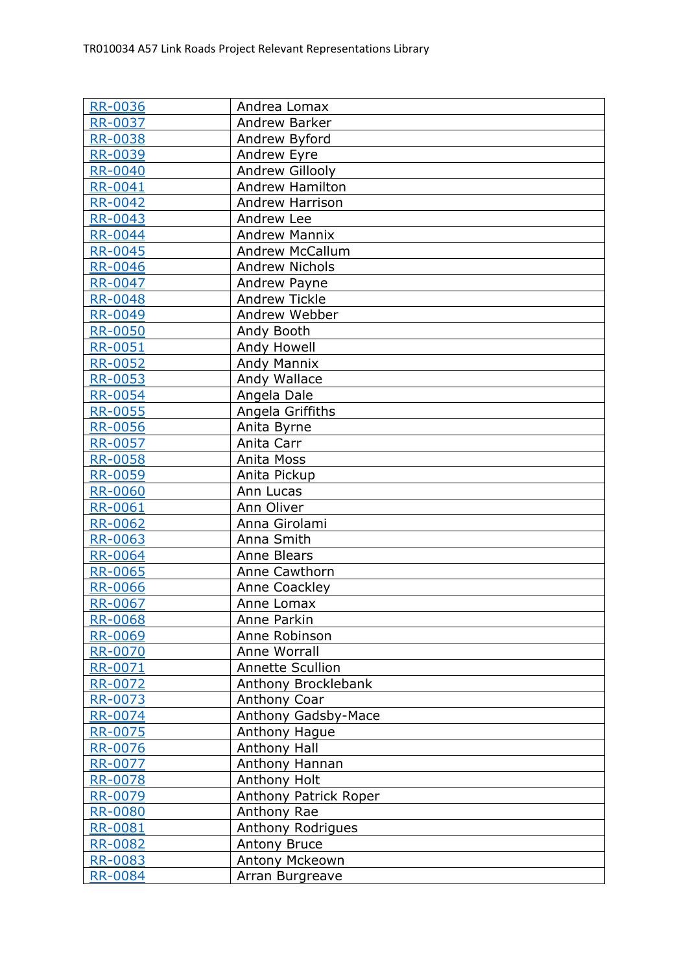| <b>RR-0036</b> | Andrea Lomax            |
|----------------|-------------------------|
| <b>RR-0037</b> | Andrew Barker           |
| <b>RR-0038</b> | Andrew Byford           |
| <b>RR-0039</b> | Andrew Eyre             |
| <b>RR-0040</b> | Andrew Gillooly         |
| RR-0041        | <b>Andrew Hamilton</b>  |
| <b>RR-0042</b> | <b>Andrew Harrison</b>  |
| <b>RR-0043</b> | Andrew Lee              |
| <b>RR-0044</b> | <b>Andrew Mannix</b>    |
| <b>RR-0045</b> | <b>Andrew McCallum</b>  |
| <b>RR-0046</b> | <b>Andrew Nichols</b>   |
| RR-0047        | Andrew Payne            |
| <b>RR-0048</b> | <b>Andrew Tickle</b>    |
| <b>RR-0049</b> | Andrew Webber           |
| <b>RR-0050</b> | Andy Booth              |
| <b>RR-0051</b> | Andy Howell             |
| <b>RR-0052</b> | <b>Andy Mannix</b>      |
| <b>RR-0053</b> | Andy Wallace            |
| <b>RR-0054</b> | Angela Dale             |
| <b>RR-0055</b> | Angela Griffiths        |
| <b>RR-0056</b> | Anita Byrne             |
| <b>RR-0057</b> | Anita Carr              |
| <b>RR-0058</b> | Anita Moss              |
| <b>RR-0059</b> | Anita Pickup            |
| RR-0060        | Ann Lucas               |
| <b>RR-0061</b> | Ann Oliver              |
| <b>RR-0062</b> | Anna Girolami           |
| RR-0063        | Anna Smith              |
| <b>RR-0064</b> | <b>Anne Blears</b>      |
| <b>RR-0065</b> | Anne Cawthorn           |
| <b>RR-0066</b> | Anne Coackley           |
| <b>RR-0067</b> | Anne Lomax              |
| RR-0068        | Anne Parkin             |
| <b>RR-0069</b> | Anne Robinson           |
| <b>RR-0070</b> | Anne Worrall            |
| RR-0071        | <b>Annette Scullion</b> |
| RR-0072        | Anthony Brocklebank     |
| RR-0073        | Anthony Coar            |
| RR-0074        | Anthony Gadsby-Mace     |
| RR-0075        | Anthony Hague           |
| RR-0076        | Anthony Hall            |
| <b>RR-0077</b> | Anthony Hannan          |
| RR-0078        | Anthony Holt            |
| RR-0079        | Anthony Patrick Roper   |
| <b>RR-0080</b> | Anthony Rae             |
| RR-0081        | Anthony Rodrigues       |
| <b>RR-0082</b> | Antony Bruce            |
| RR-0083        | Antony Mckeown          |
| <b>RR-0084</b> | Arran Burgreave         |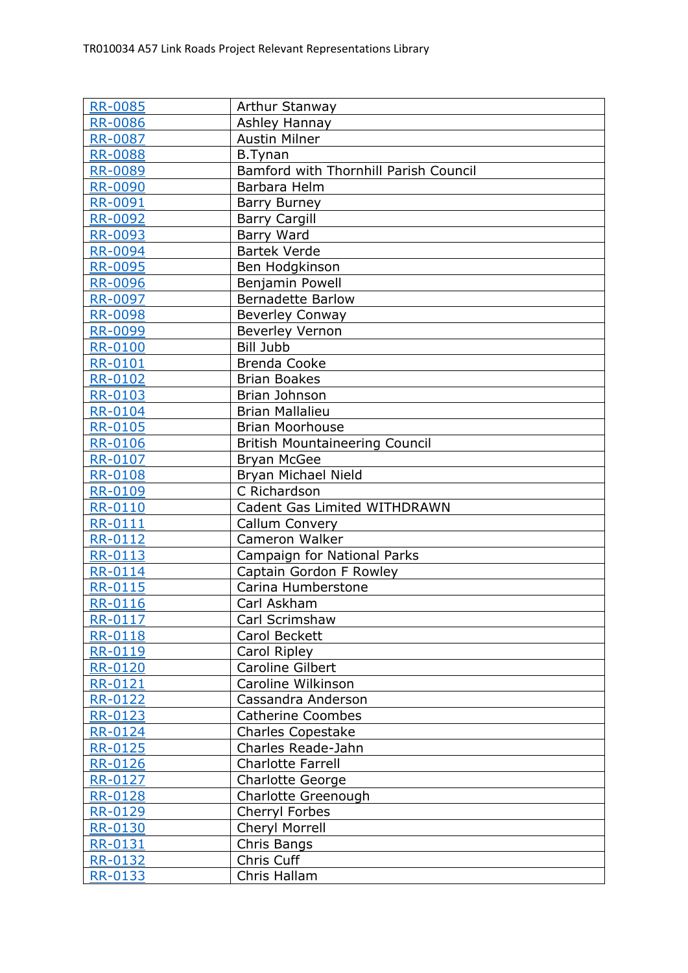| <b>RR-0085</b> | Arthur Stanway                        |
|----------------|---------------------------------------|
| <b>RR-0086</b> | Ashley Hannay                         |
| <b>RR-0087</b> | <b>Austin Milner</b>                  |
| <b>RR-0088</b> | <b>B.Tynan</b>                        |
| <b>RR-0089</b> | Bamford with Thornhill Parish Council |
| <b>RR-0090</b> | Barbara Helm                          |
| <u>RR-0091</u> | Barry Burney                          |
| <b>RR-0092</b> | <b>Barry Cargill</b>                  |
| <b>RR-0093</b> | Barry Ward                            |
| <b>RR-0094</b> | <b>Bartek Verde</b>                   |
| <b>RR-0095</b> | Ben Hodgkinson                        |
| RR-0096        | Benjamin Powell                       |
| <b>RR-0097</b> | <b>Bernadette Barlow</b>              |
| <b>RR-0098</b> | <b>Beverley Conway</b>                |
| <b>RR-0099</b> | <b>Beverley Vernon</b>                |
| <b>RR-0100</b> | <b>Bill Jubb</b>                      |
| RR-0101        | <b>Brenda Cooke</b>                   |
| RR-0102        | <b>Brian Boakes</b>                   |
| RR-0103        | Brian Johnson                         |
| <b>RR-0104</b> | <b>Brian Mallalieu</b>                |
| RR-0105        | <b>Brian Moorhouse</b>                |
| RR-0106        | <b>British Mountaineering Council</b> |
| RR-0107        | <b>Bryan McGee</b>                    |
| RR-0108        | Bryan Michael Nield                   |
| RR-0109        | C Richardson                          |
| <b>RR-0110</b> | Cadent Gas Limited WITHDRAWN          |
| RR-0111        | Callum Convery                        |
| RR-0112        | Cameron Walker                        |
| <b>RR-0113</b> | Campaign for National Parks           |
| <b>RR-0114</b> | Captain Gordon F Rowley               |
| RR-0115        | Carina Humberstone                    |
| RR-0116        | Carl Askham                           |
| <b>RR-0117</b> | Carl Scrimshaw                        |
| RR-0118        | Carol Beckett                         |
| RR-0119        | Carol Ripley                          |
| <b>RR-0120</b> | Caroline Gilbert                      |
| RR-0121        | Caroline Wilkinson                    |
| RR-0122        | Cassandra Anderson                    |
| RR-0123        | <b>Catherine Coombes</b>              |
| <b>RR-0124</b> | <b>Charles Copestake</b>              |
| RR-0125        | Charles Reade-Jahn                    |
| RR-0126        | <b>Charlotte Farrell</b>              |
| RR-0127        | Charlotte George                      |
| RR-0128        | Charlotte Greenough                   |
| <b>RR-0129</b> | Cherryl Forbes                        |
| RR-0130        | Cheryl Morrell                        |
| RR-0131        | Chris Bangs                           |
| RR-0132        | Chris Cuff                            |
| RR-0133        | Chris Hallam                          |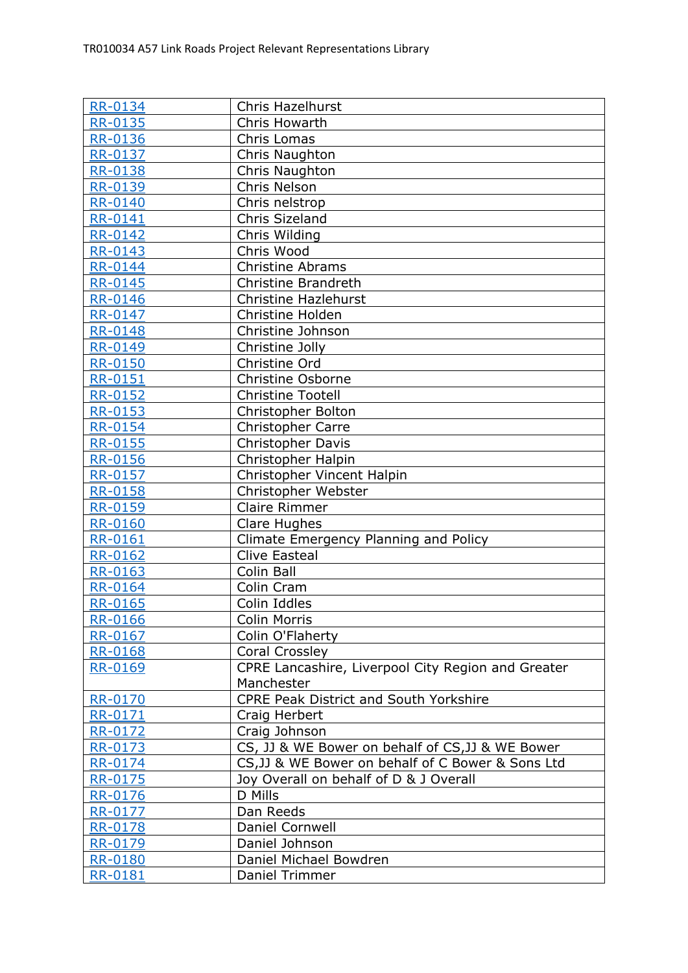| <b>RR-0134</b>            | <b>Chris Hazelhurst</b>                            |
|---------------------------|----------------------------------------------------|
| <b>RR-0135</b>            | Chris Howarth                                      |
| RR-0136                   | Chris Lomas                                        |
| <b>RR-0137</b>            | Chris Naughton                                     |
| RR-0138                   | Chris Naughton                                     |
| RR-0139                   | Chris Nelson                                       |
| <b>RR-0140</b>            | Chris nelstrop                                     |
| RR-0141                   | Chris Sizeland                                     |
| <b>RR-0142</b>            | Chris Wilding                                      |
| RR-0143                   | Chris Wood                                         |
| <b>RR-0144</b>            | Christine Abrams                                   |
| <b>RR-0145</b>            | <b>Christine Brandreth</b>                         |
| RR-0146                   | <b>Christine Hazlehurst</b>                        |
| RR-0147                   | Christine Holden                                   |
| <b>RR-0148</b>            | Christine Johnson                                  |
| <b>RR-0149</b>            | Christine Jolly                                    |
| <b>RR-0150</b>            | Christine Ord                                      |
| <b>RR-0151</b>            | Christine Osborne                                  |
| RR-0152                   | <b>Christine Tootell</b>                           |
| <b>RR-0153</b>            | Christopher Bolton                                 |
| RR-0154                   | Christopher Carre                                  |
| RR-0155                   | Christopher Davis                                  |
| RR-0156                   | Christopher Halpin                                 |
| RR-0157                   | Christopher Vincent Halpin                         |
| RR-0158                   | Christopher Webster                                |
| RR-0159                   | <b>Claire Rimmer</b>                               |
| <b>RR-0160</b>            | Clare Hughes                                       |
| RR-0161                   | Climate Emergency Planning and Policy              |
| <b>RR-0162</b>            | <b>Clive Easteal</b>                               |
| RR-0163<br><b>RR-0164</b> | Colin Ball                                         |
|                           | Colin Cram                                         |
| RR-0165                   | Colin Iddles                                       |
| RR-0166<br>RR-0167        | Colin Morris<br>Colin O'Flaherty                   |
| RR-0168                   | Coral Crossley                                     |
| RR-0169                   | CPRE Lancashire, Liverpool City Region and Greater |
|                           | Manchester                                         |
| <b>RR-0170</b>            | <b>CPRE Peak District and South Yorkshire</b>      |
| RR-0171                   | Craig Herbert                                      |
| RR-0172                   | Craig Johnson                                      |
| RR-0173                   | CS, JJ & WE Bower on behalf of CS, JJ & WE Bower   |
| RR-0174                   | CS, JJ & WE Bower on behalf of C Bower & Sons Ltd  |
| RR-0175                   | Joy Overall on behalf of D & J Overall             |
| RR-0176                   | D Mills                                            |
| RR-0177                   | Dan Reeds                                          |
| RR-0178                   | Daniel Cornwell                                    |
| RR-0179                   | Daniel Johnson                                     |
| RR-0180                   | Daniel Michael Bowdren                             |
| RR-0181                   | Daniel Trimmer                                     |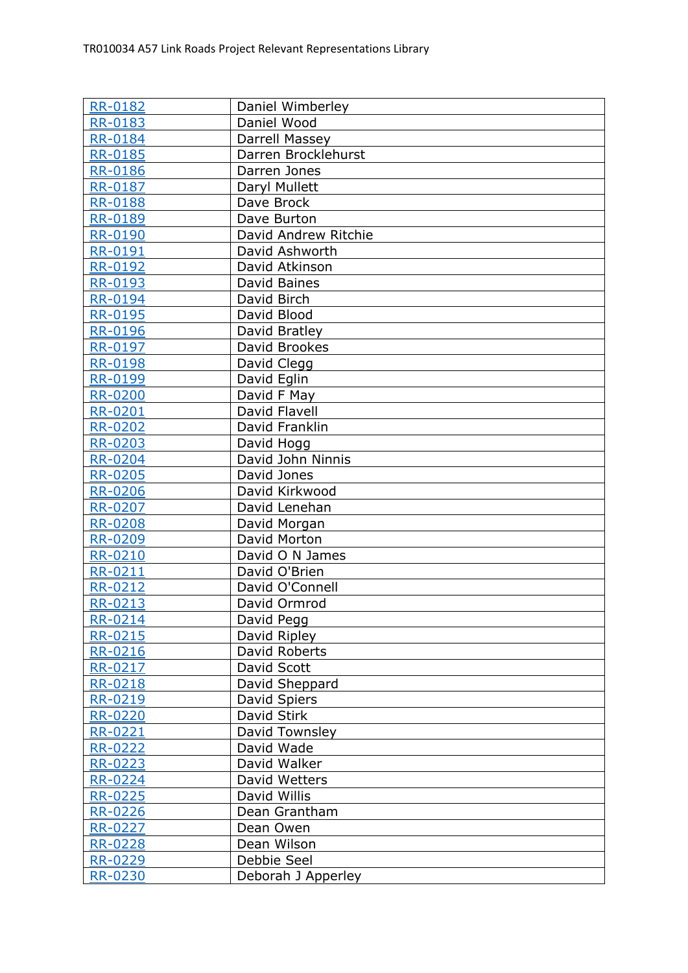| <b>RR-0182</b> | Daniel Wimberley     |
|----------------|----------------------|
| RR-0183        | Daniel Wood          |
| RR-0184        | Darrell Massey       |
| RR-0185        | Darren Brocklehurst  |
| RR-0186        | Darren Jones         |
| RR-0187        | Daryl Mullett        |
| <b>RR-0188</b> | Dave Brock           |
| <b>RR-0189</b> | Dave Burton          |
| <b>RR-0190</b> | David Andrew Ritchie |
| <b>RR-0191</b> | David Ashworth       |
| RR-0192        | David Atkinson       |
| RR-0193        | David Baines         |
| <b>RR-0194</b> | David Birch          |
| RR-0195        | David Blood          |
| <b>RR-0196</b> | David Bratley        |
| RR-0197        | David Brookes        |
| RR-0198        | David Clegg          |
| <b>RR-0199</b> | David Eglin          |
| <b>RR-0200</b> | David F May          |
| RR-0201        | David Flavell        |
| RR-0202        | David Franklin       |
| RR-0203        | David Hogg           |
| <b>RR-0204</b> | David John Ninnis    |
| RR-0205        | David Jones          |
| RR-0206        | David Kirkwood       |
| <b>RR-0207</b> | David Lenehan        |
| <b>RR-0208</b> | David Morgan         |
| RR-0209        | David Morton         |
| <b>RR-0210</b> | David O N James      |
| <b>RR-0211</b> | David O'Brien        |
| RR-0212        | David O'Connell      |
| RR-0213        | David Ormrod         |
| RR-0214        | David Pegg           |
| RR-0215        | David Ripley         |
| RR-0216        | David Roberts        |
| RR-0217        | David Scott          |
| RR-0218        | David Sheppard       |
| RR-0219        | David Spiers         |
| <b>RR-0220</b> | David Stirk          |
| RR-0221        | David Townsley       |
| RR-0222        | David Wade           |
| RR-0223        | David Walker         |
| RR-0224        | David Wetters        |
| <u>RR-0225</u> | David Willis         |
| RR-0226        | Dean Grantham        |
| <b>RR-0227</b> | Dean Owen            |
| RR-0228        | Dean Wilson          |
| RR-0229        | Debbie Seel          |
| <b>RR-0230</b> | Deborah J Apperley   |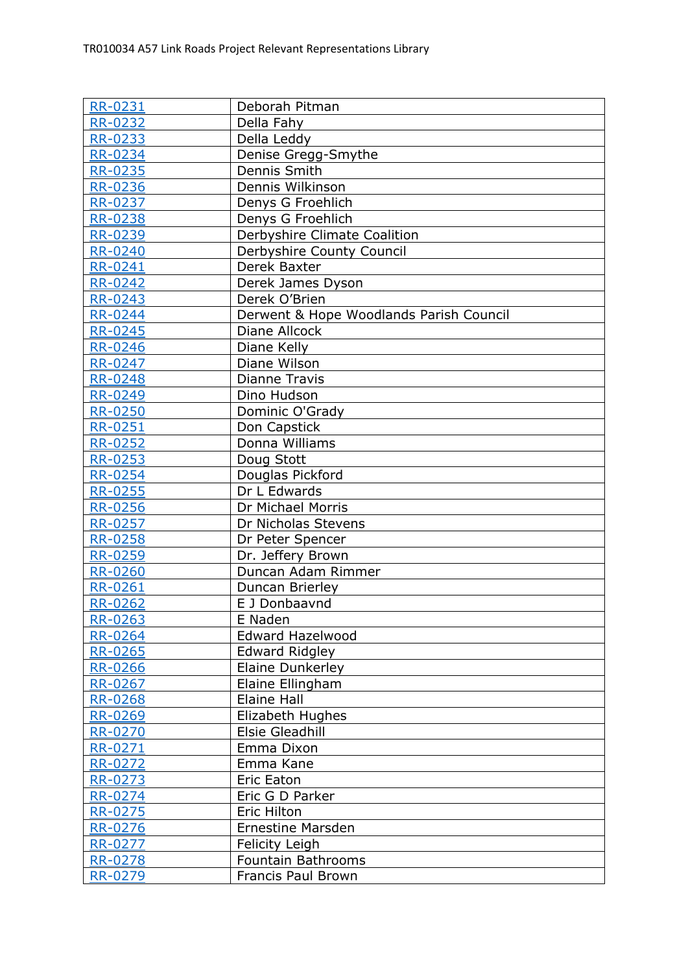| <b>RR-0231</b>            | Deborah Pitman                                   |
|---------------------------|--------------------------------------------------|
| RR-0232                   | Della Fahy                                       |
| RR-0233                   | Della Leddy                                      |
| <b>RR-0234</b>            | Denise Gregg-Smythe                              |
| RR-0235                   | Dennis Smith                                     |
| RR-0236                   | Dennis Wilkinson                                 |
| RR-0237                   | Denys G Froehlich                                |
| <b>RR-0238</b>            | Denys G Froehlich                                |
| <b>RR-0239</b>            | Derbyshire Climate Coalition                     |
| <b>RR-0240</b>            | Derbyshire County Council                        |
| <b>RR-0241</b>            | Derek Baxter                                     |
| RR-0242                   | Derek James Dyson                                |
| <b>RR-0243</b>            | Derek O'Brien                                    |
| RR-0244                   | Derwent & Hope Woodlands Parish Council          |
| RR-0245                   | Diane Allcock                                    |
| <b>RR-0246</b>            | Diane Kelly                                      |
| RR-0247                   | Diane Wilson                                     |
| RR-0248                   | Dianne Travis                                    |
| RR-0249                   | Dino Hudson                                      |
| <b>RR-0250</b>            | Dominic O'Grady                                  |
| RR-0251                   | Don Capstick                                     |
| RR-0252                   | Donna Williams                                   |
| RR-0253                   | Doug Stott                                       |
| <b>RR-0254</b>            | Douglas Pickford                                 |
| RR-0255                   | Dr L Edwards                                     |
| RR-0256                   | Dr Michael Morris                                |
| RR-0257                   | Dr Nicholas Stevens                              |
| RR-0258                   | Dr Peter Spencer                                 |
| <b>RR-0259</b>            | Dr. Jeffery Brown                                |
| <b>RR-0260</b>            | Duncan Adam Rimmer                               |
| RR-0261                   | Duncan Brierley                                  |
| <b>RR-0262</b>            | E J Donbaavnd                                    |
| RR-0263                   | E Naden                                          |
| RR-0264                   | <b>Edward Hazelwood</b>                          |
| RR-0265                   | <b>Edward Ridgley</b><br><b>Elaine Dunkerley</b> |
| <b>RR-0266</b>            |                                                  |
| RR-0267<br><b>RR-0268</b> | Elaine Ellingham<br>Elaine Hall                  |
| RR-0269                   | Elizabeth Hughes                                 |
| RR-0270                   | Elsie Gleadhill                                  |
| RR-0271                   | Emma Dixon                                       |
| RR-0272                   | Emma Kane                                        |
| RR-0273                   | <b>Eric Eaton</b>                                |
| RR-0274                   | Eric G D Parker                                  |
| RR-0275                   | Eric Hilton                                      |
| RR-0276                   | <b>Ernestine Marsden</b>                         |
| RR-0277                   | Felicity Leigh                                   |
| RR-0278                   | Fountain Bathrooms                               |
| <b>RR-0279</b>            | Francis Paul Brown                               |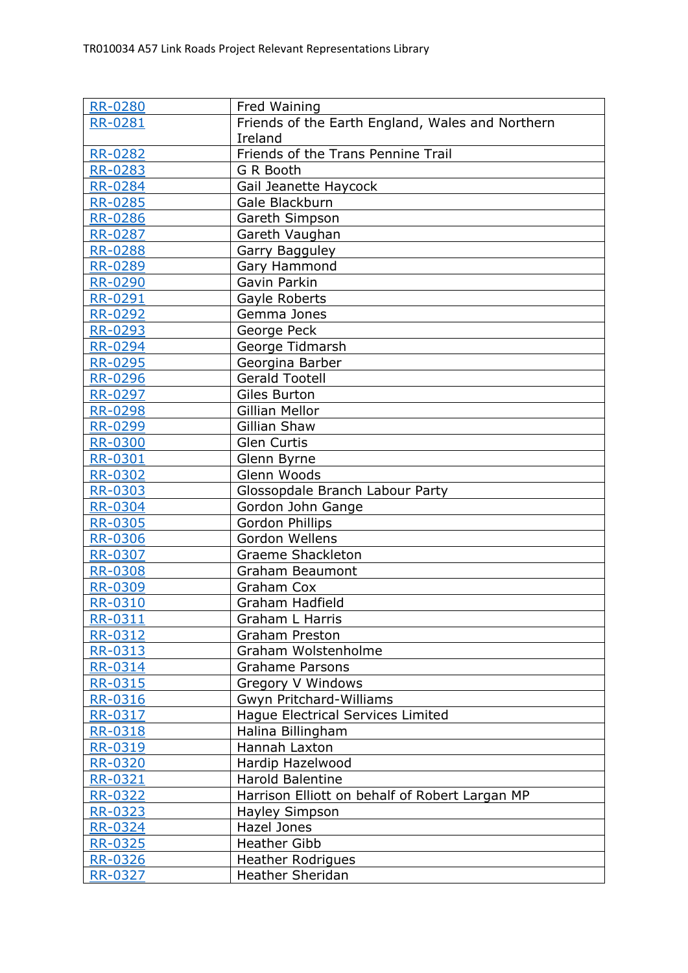| <b>RR-0280</b> | Fred Waining                                     |
|----------------|--------------------------------------------------|
| RR-0281        | Friends of the Earth England, Wales and Northern |
|                | Ireland                                          |
| <b>RR-0282</b> | Friends of the Trans Pennine Trail               |
| <b>RR-0283</b> | G R Booth                                        |
| <b>RR-0284</b> | Gail Jeanette Haycock                            |
| RR-0285        | Gale Blackburn                                   |
| <b>RR-0286</b> | Gareth Simpson                                   |
| RR-0287        | Gareth Vaughan                                   |
| RR-0288        | Garry Bagguley                                   |
| <b>RR-0289</b> | Gary Hammond                                     |
| <b>RR-0290</b> | Gavin Parkin                                     |
| <b>RR-0291</b> | Gayle Roberts                                    |
| <b>RR-0292</b> | Gemma Jones                                      |
| RR-0293        | George Peck                                      |
| <b>RR-0294</b> | George Tidmarsh                                  |
| <b>RR-0295</b> | Georgina Barber                                  |
| RR-0296        | <b>Gerald Tootell</b>                            |
| RR-0297        | Giles Burton                                     |
| <b>RR-0298</b> | <b>Gillian Mellor</b>                            |
| <b>RR-0299</b> | Gillian Shaw                                     |
| <b>RR-0300</b> | <b>Glen Curtis</b>                               |
| RR-0301        | Glenn Byrne                                      |
| <b>RR-0302</b> | Glenn Woods                                      |
| RR-0303        | Glossopdale Branch Labour Party                  |
| RR-0304        | Gordon John Gange                                |
| <b>RR-0305</b> | Gordon Phillips                                  |
| RR-0306        | Gordon Wellens                                   |
| <b>RR-0307</b> | <b>Graeme Shackleton</b>                         |
| <b>RR-0308</b> | Graham Beaumont                                  |
| RR-0309        | Graham Cox                                       |
| RR-0310        | Graham Hadfield                                  |
| RR-0311        | Graham L Harris                                  |
| RR-0312        | <b>Graham Preston</b>                            |
| RR-0313        | Graham Wolstenholme                              |
| RR-0314        | <b>Grahame Parsons</b>                           |
| RR-0315        | Gregory V Windows                                |
| RR-0316        | Gwyn Pritchard-Williams                          |
| RR-0317        | Haque Electrical Services Limited                |
| RR-0318        | Halina Billingham                                |
| RR-0319        | Hannah Laxton                                    |
| RR-0320        | Hardip Hazelwood                                 |
| RR-0321        | <b>Harold Balentine</b>                          |
| RR-0322        | Harrison Elliott on behalf of Robert Largan MP   |
| RR-0323        | Hayley Simpson                                   |
| RR-0324        | Hazel Jones                                      |
| RR-0325        | <b>Heather Gibb</b>                              |
| RR-0326        | <b>Heather Rodrigues</b>                         |
| RR-0327        | <b>Heather Sheridan</b>                          |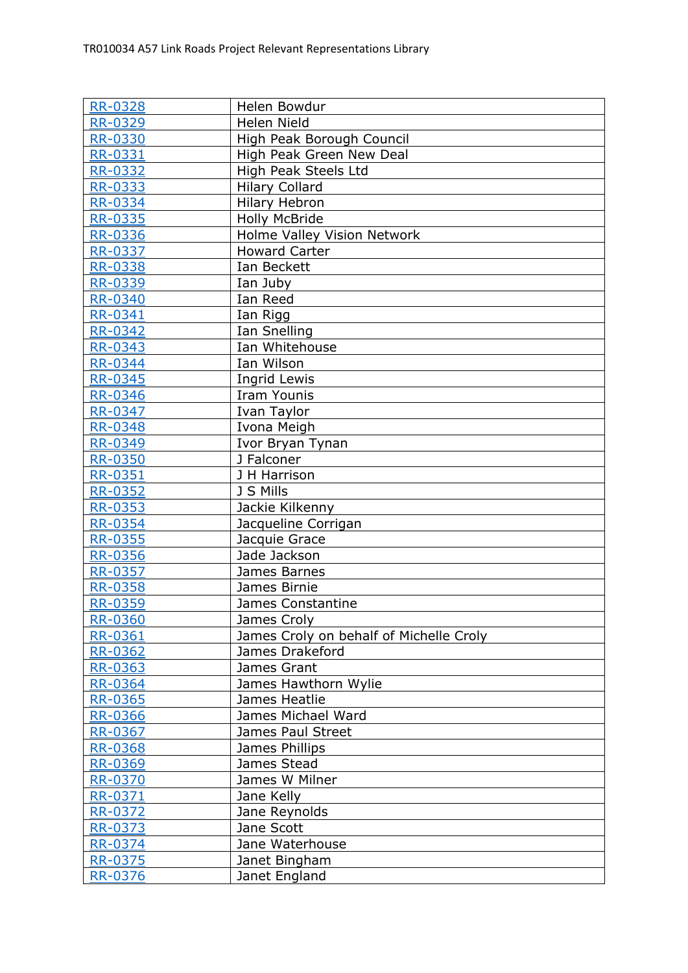| <b>RR-0328</b> | Helen Bowdur                            |
|----------------|-----------------------------------------|
| RR-0329        | <b>Helen Nield</b>                      |
| RR-0330        | High Peak Borough Council               |
| RR-0331        | High Peak Green New Deal                |
| <b>RR-0332</b> | High Peak Steels Ltd                    |
| RR-0333        | <b>Hilary Collard</b>                   |
| RR-0334        | <b>Hilary Hebron</b>                    |
| <b>RR-0335</b> | <b>Holly McBride</b>                    |
| <b>RR-0336</b> | Holme Valley Vision Network             |
| <b>RR-0337</b> | <b>Howard Carter</b>                    |
| RR-0338        | Ian Beckett                             |
| RR-0339        | Ian Juby                                |
| <b>RR-0340</b> | Ian Reed                                |
| RR-0341        | Ian Rigg                                |
| <b>RR-0342</b> | Ian Snelling                            |
| RR-0343        | Ian Whitehouse                          |
| <b>RR-0344</b> | Ian Wilson                              |
| <b>RR-0345</b> | Ingrid Lewis                            |
| RR-0346        | <b>Iram Younis</b>                      |
| <b>RR-0347</b> | Ivan Taylor                             |
| <b>RR-0348</b> | Ivona Meigh                             |
| RR-0349        | Ivor Bryan Tynan                        |
| <b>RR-0350</b> | J Falconer                              |
| RR-0351        | J H Harrison                            |
| RR-0352        | J S Mills                               |
| <b>RR-0353</b> | Jackie Kilkenny                         |
| RR-0354        | Jacqueline Corrigan                     |
| RR-0355        | Jacquie Grace                           |
| <b>RR-0356</b> | Jade Jackson                            |
| <b>RR-0357</b> | James Barnes                            |
| RR-0358        | James Birnie                            |
| RR-0359        | James Constantine                       |
| <b>RR-0360</b> | James Croly                             |
| RR-0361        | James Croly on behalf of Michelle Croly |
| RR-0362        | James Drakeford                         |
| RR-0363        | James Grant                             |
| RR-0364        | James Hawthorn Wylie                    |
| RR-0365        | James Heatlie                           |
| <b>RR-0366</b> | James Michael Ward                      |
| RR-0367        | James Paul Street                       |
| RR-0368        | James Phillips                          |
| RR-0369        | James Stead                             |
| RR-0370        | James W Milner                          |
| RR-0371        | Jane Kelly                              |
| RR-0372        | Jane Reynolds                           |
| RR-0373        | Jane Scott                              |
| RR-0374        | Jane Waterhouse                         |
| RR-0375        | Janet Bingham                           |
| RR-0376        | Janet England                           |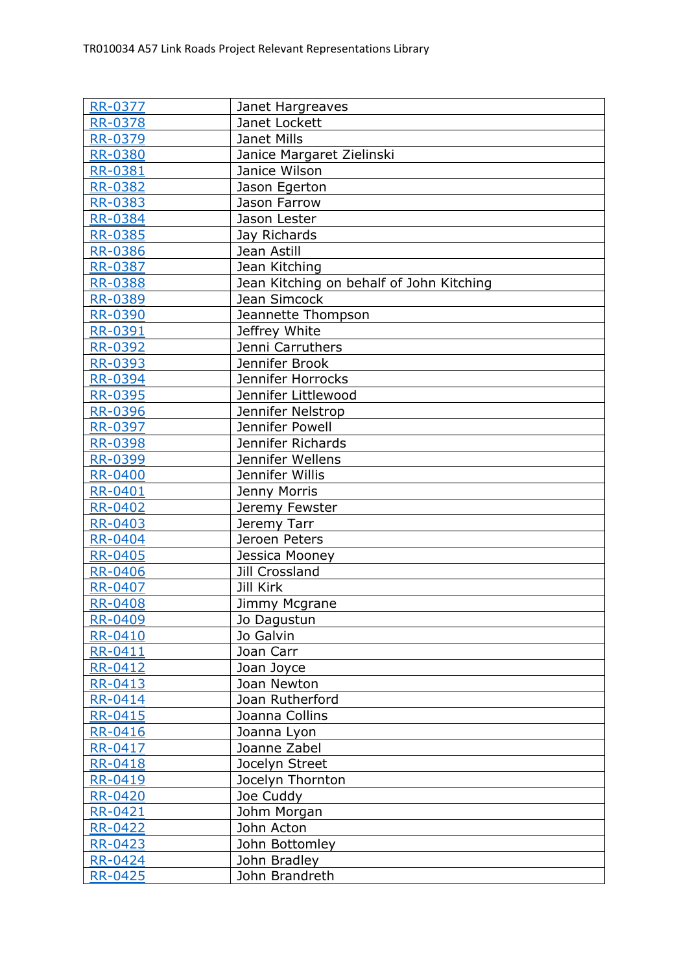| <b>RR-0377</b> | Janet Hargreaves                         |
|----------------|------------------------------------------|
| RR-0378        | Janet Lockett                            |
| RR-0379        | Janet Mills                              |
| <b>RR-0380</b> | Janice Margaret Zielinski                |
| RR-0381        | Janice Wilson                            |
| RR-0382        | Jason Egerton                            |
| RR-0383        | Jason Farrow                             |
| <b>RR-0384</b> | Jason Lester                             |
| <b>RR-0385</b> | Jay Richards                             |
| <b>RR-0386</b> | Jean Astill                              |
| RR-0387        | Jean Kitching                            |
| RR-0388        | Jean Kitching on behalf of John Kitching |
| <b>RR-0389</b> | Jean Simcock                             |
| RR-0390        | Jeannette Thompson                       |
| RR-0391        | Jeffrey White                            |
| <b>RR-0392</b> | Jenni Carruthers                         |
| RR-0393        | Jennifer Brook                           |
| RR-0394        | Jennifer Horrocks                        |
| RR-0395        | Jennifer Littlewood                      |
| <b>RR-0396</b> | Jennifer Nelstrop                        |
| RR-0397        | Jennifer Powell                          |
| RR-0398        | Jennifer Richards                        |
| RR-0399        | Jennifer Wellens                         |
| <b>RR-0400</b> | Jennifer Willis                          |
| RR-0401        | Jenny Morris                             |
| <b>RR-0402</b> | Jeremy Fewster                           |
| RR-0403        | Jeremy Tarr                              |
| <b>RR-0404</b> | Jeroen Peters                            |
| <b>RR-0405</b> | Jessica Mooney                           |
| <b>RR-0406</b> | Jill Crossland                           |
| <b>RR-0407</b> | Jill Kirk                                |
| <b>RR-0408</b> | Jimmy Mcgrane                            |
| RR-0409        | Jo Dagustun                              |
| RR-0410        | Jo Galvin                                |
| RR-0411        | Joan Carr                                |
| <b>RR-0412</b> | Joan Joyce                               |
| RR-0413        | Joan Newton                              |
| RR-0414        | Joan Rutherford                          |
| <b>RR-0415</b> | Joanna Collins                           |
| RR-0416        | Joanna Lyon                              |
| RR-0417        | Joanne Zabel                             |
| <b>RR-0418</b> | Jocelyn Street                           |
| RR-0419        | Jocelyn Thornton                         |
| RR-0420        | Joe Cuddy                                |
| RR-0421        | Johm Morgan                              |
| RR-0422        | John Acton                               |
| RR-0423        | John Bottomley                           |
| RR-0424        | John Bradley                             |
| <b>RR-0425</b> | John Brandreth                           |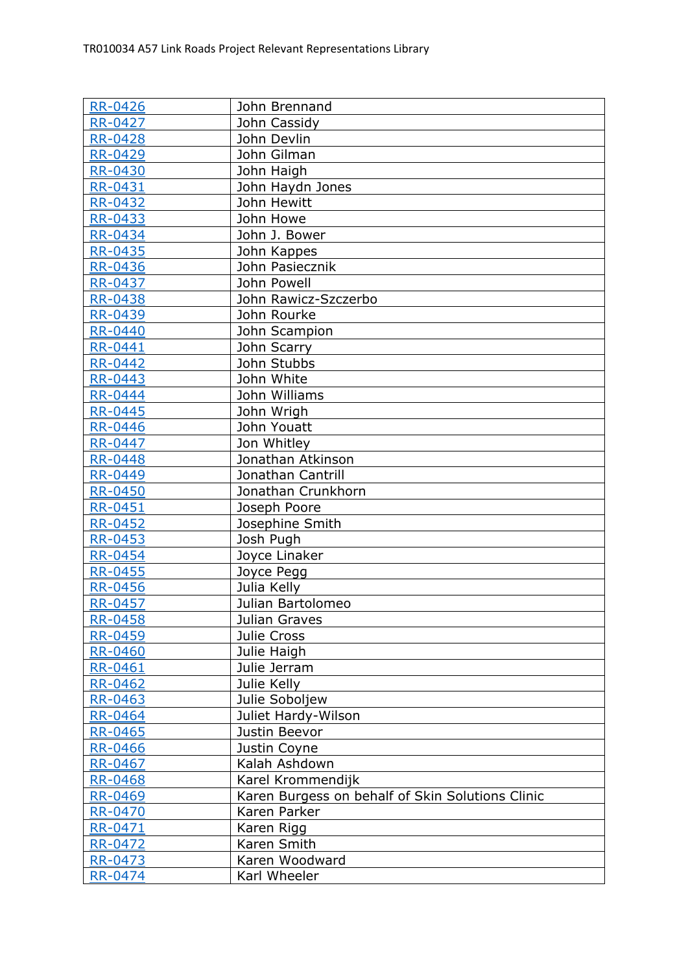| <b>RR-0426</b> | John Brennand                                    |
|----------------|--------------------------------------------------|
| <b>RR-0427</b> | John Cassidy                                     |
| <b>RR-0428</b> | John Devlin                                      |
| <b>RR-0429</b> | John Gilman                                      |
| <b>RR-0430</b> | John Haigh                                       |
| RR-0431        | John Haydn Jones                                 |
| RR-0432        | John Hewitt                                      |
| <b>RR-0433</b> | John Howe                                        |
| <b>RR-0434</b> | John J. Bower                                    |
| RR-0435        | John Kappes                                      |
| RR-0436        | John Pasiecznik                                  |
| RR-0437        | John Powell                                      |
| RR-0438        | John Rawicz-Szczerbo                             |
| RR-0439        | John Rourke                                      |
| <b>RR-0440</b> | John Scampion                                    |
| <b>RR-0441</b> | John Scarry                                      |
| <b>RR-0442</b> | John Stubbs                                      |
| RR-0443        | John White                                       |
| <b>RR-0444</b> | John Williams                                    |
| <b>RR-0445</b> | John Wrigh                                       |
| <b>RR-0446</b> | John Youatt                                      |
| <b>RR-0447</b> | Jon Whitley                                      |
| <b>RR-0448</b> | Jonathan Atkinson                                |
| RR-0449        | Jonathan Cantrill                                |
| <b>RR-0450</b> | Jonathan Crunkhorn                               |
| RR-0451        | Joseph Poore                                     |
| <b>RR-0452</b> | Josephine Smith                                  |
| <b>RR-0453</b> | Josh Pugh                                        |
| <b>RR-0454</b> | Joyce Linaker                                    |
| RR-0455        | Joyce Pegg                                       |
| <b>RR-0456</b> | Julia Kelly                                      |
| <b>RR-0457</b> | Julian Bartolomeo                                |
| RR-0458        | Julian Graves                                    |
| RR-0459        | Julie Cross                                      |
| RR-0460        | Julie Haigh                                      |
| <b>RR-0461</b> | Julie Jerram                                     |
| RR-0462        | Julie Kelly                                      |
| RR-0463        | Julie Soboljew                                   |
| RR-0464        | Juliet Hardy-Wilson                              |
| RR-0465        | Justin Beevor                                    |
| RR-0466        | Justin Coyne                                     |
| RR-0467        | Kalah Ashdown                                    |
| <b>RR-0468</b> | Karel Krommendijk                                |
| RR-0469        | Karen Burgess on behalf of Skin Solutions Clinic |
| <b>RR-0470</b> | Karen Parker                                     |
| RR-0471        | Karen Rigg                                       |
| RR-0472        | Karen Smith                                      |
| RR-0473        | Karen Woodward                                   |
| <b>RR-0474</b> | Karl Wheeler                                     |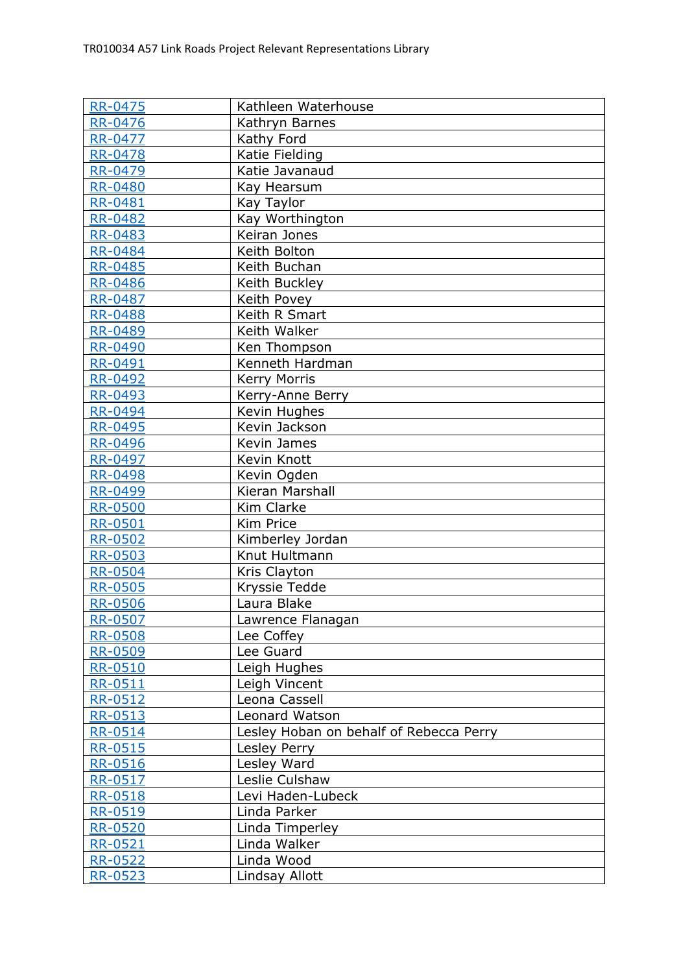| <b>RR-0475</b>            | Kathleen Waterhouse                     |
|---------------------------|-----------------------------------------|
| RR-0476                   | Kathryn Barnes                          |
| RR-0477                   | Kathy Ford                              |
| <b>RR-0478</b>            | Katie Fielding                          |
| RR-0479                   | Katie Javanaud                          |
| RR-0480                   | Kay Hearsum                             |
| RR-0481                   | Kay Taylor                              |
| <b>RR-0482</b>            | Kay Worthington                         |
| <b>RR-0483</b>            | Keiran Jones                            |
| <b>RR-0484</b>            | Keith Bolton                            |
| <b>RR-0485</b>            | Keith Buchan                            |
| <b>RR-0486</b>            | Keith Buckley                           |
| RR-0487                   | Keith Povey                             |
| RR-0488                   | Keith R Smart                           |
| <b>RR-0489</b>            | Keith Walker                            |
| RR-0490                   | Ken Thompson                            |
| <b>RR-0491</b>            | Kenneth Hardman                         |
| <b>RR-0492</b>            | <b>Kerry Morris</b>                     |
| RR-0493                   | Kerry-Anne Berry                        |
| <b>RR-0494</b>            | Kevin Hughes                            |
| RR-0495                   | Kevin Jackson                           |
| <b>RR-0496</b>            | Kevin James                             |
| <b>RR-0497</b>            | Kevin Knott                             |
| <b>RR-0498</b>            | Kevin Ogden                             |
| RR-0499                   | Kieran Marshall                         |
| <b>RR-0500</b>            | Kim Clarke                              |
| RR-0501                   | Kim Price                               |
| RR-0502                   | Kimberley Jordan                        |
| <b>RR-0503</b>            | Knut Hultmann                           |
| <b>RR-0504</b>            | Kris Clayton                            |
| <b>RR-0505</b>            | Kryssie Tedde                           |
| <b>RR-0506</b>            | Laura Blake                             |
| RR-0507                   | Lawrence Flanagan                       |
| RR-0508                   | Lee Coffey                              |
| RR-0509                   | Lee Guard                               |
| <b>RR-0510</b><br>RR-0511 | Leigh Hughes                            |
| RR-0512                   | Leigh Vincent<br>Leona Cassell          |
| RR-0513                   | Leonard Watson                          |
| RR-0514                   | Lesley Hoban on behalf of Rebecca Perry |
| RR-0515                   | Lesley Perry                            |
| RR-0516                   | Lesley Ward                             |
| RR-0517                   | Leslie Culshaw                          |
| RR-0518                   | Levi Haden-Lubeck                       |
| RR-0519                   | Linda Parker                            |
| <u>RR-0520</u>            | Linda Timperley                         |
| RR-0521                   | Linda Walker                            |
| RR-0522                   | Linda Wood                              |
| <b>RR-0523</b>            | Lindsay Allott                          |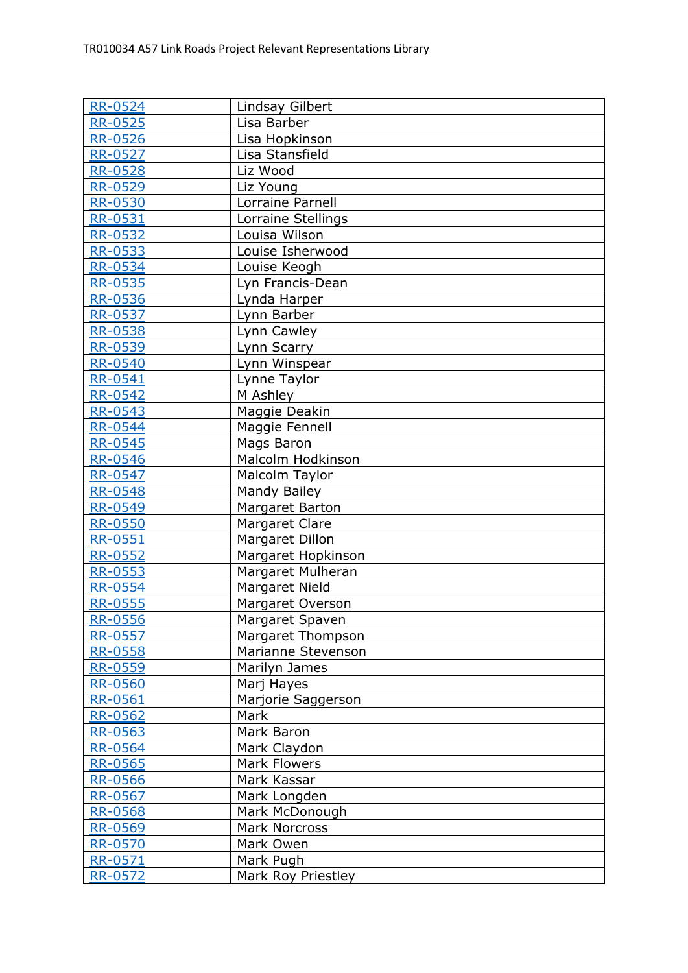| <b>RR-0524</b>     | Lindsay Gilbert                     |
|--------------------|-------------------------------------|
| <b>RR-0525</b>     | Lisa Barber                         |
| RR-0526            | Lisa Hopkinson                      |
| <b>RR-0527</b>     | Lisa Stansfield                     |
| <b>RR-0528</b>     | Liz Wood                            |
| RR-0529            | Liz Young                           |
| <b>RR-0530</b>     | Lorraine Parnell                    |
| <b>RR-0531</b>     | Lorraine Stellings                  |
| <b>RR-0532</b>     | Louisa Wilson                       |
| RR-0533            | Louise Isherwood                    |
| <b>RR-0534</b>     | Louise Keogh                        |
| RR-0535            | Lyn Francis-Dean                    |
| RR-0536            | Lynda Harper                        |
| RR-0537            | Lynn Barber                         |
| <b>RR-0538</b>     | Lynn Cawley                         |
| RR-0539            | Lynn Scarry                         |
| <b>RR-0540</b>     | Lynn Winspear                       |
| RR-0541            | Lynne Taylor                        |
| RR-0542            | M Ashley                            |
| RR-0543            | Maggie Deakin                       |
| RR-0544            | Maggie Fennell                      |
| RR-0545            | Mags Baron                          |
| RR-0546            | Malcolm Hodkinson                   |
| <b>RR-0547</b>     | Malcolm Taylor                      |
| <b>RR-0548</b>     | Mandy Bailey                        |
| RR-0549            | Margaret Barton                     |
| RR-0550            | Margaret Clare                      |
| <b>RR-0551</b>     | Margaret Dillon                     |
| <b>RR-0552</b>     | Margaret Hopkinson                  |
| RR-0553            | Margaret Mulheran                   |
| RR-0554            | Margaret Nield                      |
| <b>RR-0555</b>     | <b>Margaret Overson</b>             |
| <u>RR-0556</u>     | Margaret Spaven                     |
| <b>RR-0557</b>     | Margaret Thompson                   |
| RR-0558            | Marianne Stevenson                  |
| <b>RR-0559</b>     | Marilyn James                       |
| RR-0560            | Marj Hayes                          |
| RR-0561            | Marjorie Saggerson<br>Mark          |
| <b>RR-0562</b>     | Mark Baron                          |
| RR-0563            |                                     |
| RR-0564            | Mark Claydon<br><b>Mark Flowers</b> |
| RR-0565<br>RR-0566 | Mark Kassar                         |
| RR-0567            | Mark Longden                        |
| RR-0568            | Mark McDonough                      |
| RR-0569            | <b>Mark Norcross</b>                |
| RR-0570            | Mark Owen                           |
| RR-0571            | Mark Pugh                           |
| <b>RR-0572</b>     | Mark Roy Priestley                  |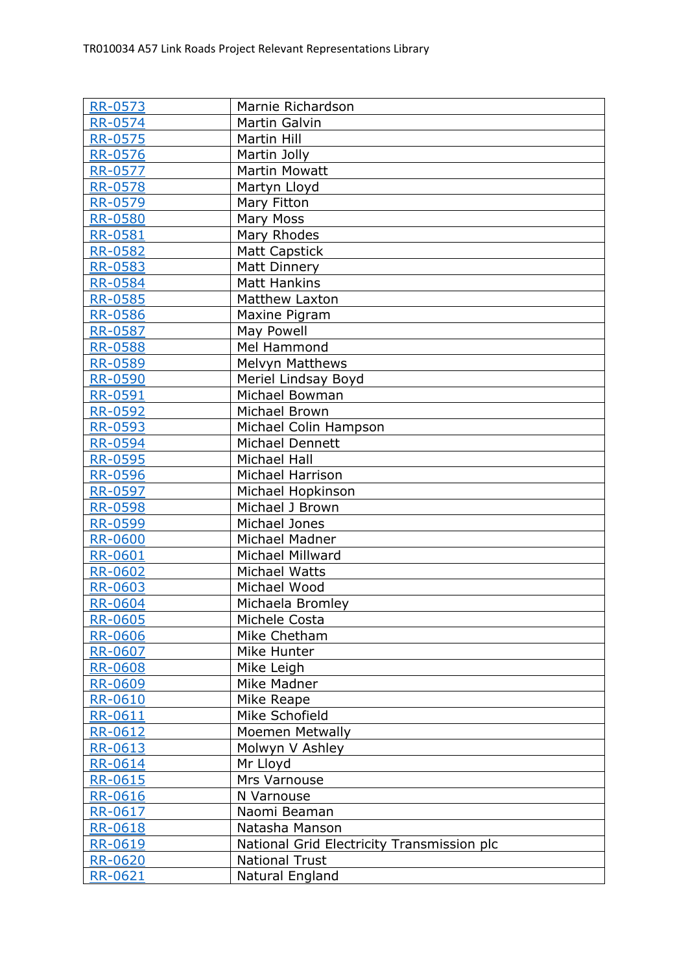| <b>RR-0573</b> | Marnie Richardson                          |
|----------------|--------------------------------------------|
| <b>RR-0574</b> | <b>Martin Galvin</b>                       |
| <b>RR-0575</b> | <b>Martin Hill</b>                         |
| RR-0576        | Martin Jolly                               |
| <b>RR-0577</b> | <b>Martin Mowatt</b>                       |
| RR-0578        | Martyn Lloyd                               |
| RR-0579        | Mary Fitton                                |
| <b>RR-0580</b> | Mary Moss                                  |
| <b>RR-0581</b> | Mary Rhodes                                |
| <b>RR-0582</b> | <b>Matt Capstick</b>                       |
| RR-0583        | Matt Dinnery                               |
| RR-0584        | <b>Matt Hankins</b>                        |
| RR-0585        | <b>Matthew Laxton</b>                      |
| <b>RR-0586</b> | Maxine Pigram                              |
| <b>RR-0587</b> | May Powell                                 |
| <b>RR-0588</b> | Mel Hammond                                |
| <b>RR-0589</b> | <b>Melvyn Matthews</b>                     |
| <b>RR-0590</b> | Meriel Lindsay Boyd                        |
| RR-0591        | Michael Bowman                             |
| RR-0592        | Michael Brown                              |
| <b>RR-0593</b> | Michael Colin Hampson                      |
| RR-0594        | Michael Dennett                            |
| <b>RR-0595</b> | <b>Michael Hall</b>                        |
| <b>RR-0596</b> | Michael Harrison                           |
| RR-0597        | Michael Hopkinson                          |
| <b>RR-0598</b> | Michael J Brown                            |
| RR-0599        | Michael Jones                              |
| <b>RR-0600</b> | Michael Madner                             |
| <b>RR-0601</b> | Michael Millward                           |
| <b>RR-0602</b> | Michael Watts                              |
| <b>RR-0603</b> | Michael Wood                               |
| <b>RR-0604</b> | Michaela Bromley                           |
| RR-0605        | Michele Costa                              |
| <b>RR-0606</b> | Mike Chetham                               |
| <b>RR-0607</b> | Mike Hunter                                |
| RR-0608        | Mike Leigh                                 |
| RR-0609        | Mike Madner                                |
| RR-0610        | Mike Reape                                 |
| RR-0611        | Mike Schofield                             |
| RR-0612        | <b>Moemen Metwally</b>                     |
| RR-0613        | Molwyn V Ashley                            |
| RR-0614        | Mr Lloyd                                   |
| RR-0615        | Mrs Varnouse                               |
| <u>RR-0616</u> | N Varnouse                                 |
| RR-0617        | Naomi Beaman                               |
| RR-0618        | Natasha Manson                             |
| RR-0619        | National Grid Electricity Transmission plc |
| RR-0620        | <b>National Trust</b>                      |
| RR-0621        | Natural England                            |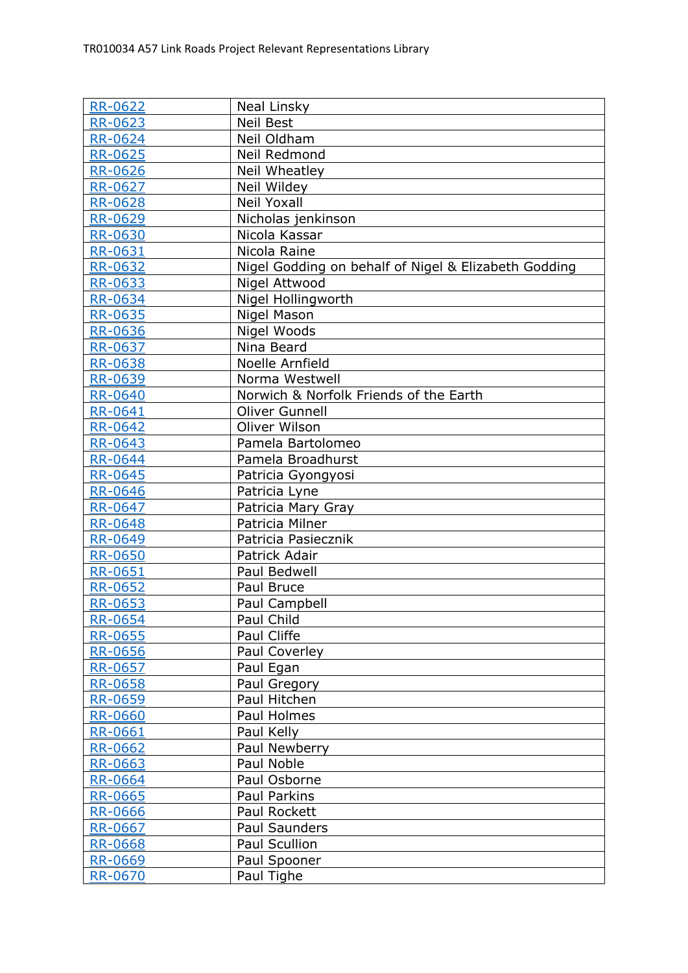| <b>RR-0622</b>                   | Neal Linsky                                          |
|----------------------------------|------------------------------------------------------|
| RR-0623                          | <b>Neil Best</b>                                     |
| <b>RR-0624</b>                   | Neil Oldham                                          |
| <b>RR-0625</b>                   | Neil Redmond                                         |
| RR-0626                          | Neil Wheatley                                        |
| <b>RR-0627</b>                   | Neil Wildey                                          |
| RR-0628                          | <b>Neil Yoxall</b>                                   |
| <b>RR-0629</b>                   | Nicholas jenkinson                                   |
| <b>RR-0630</b>                   | Nicola Kassar                                        |
| <b>RR-0631</b>                   | Nicola Raine                                         |
| <b>RR-0632</b>                   | Nigel Godding on behalf of Nigel & Elizabeth Godding |
| RR-0633                          | Nigel Attwood                                        |
| RR-0634                          | Nigel Hollingworth                                   |
| RR-0635                          | Nigel Mason                                          |
| RR-0636                          | Nigel Woods                                          |
| <b>RR-0637</b>                   | Nina Beard                                           |
| <b>RR-0638</b>                   | Noelle Arnfield                                      |
| RR-0639                          | Norma Westwell                                       |
| <b>RR-0640</b>                   | Norwich & Norfolk Friends of the Earth               |
| RR-0641                          | <b>Oliver Gunnell</b>                                |
| RR-0642                          | Oliver Wilson                                        |
| RR-0643                          | Pamela Bartolomeo                                    |
| <b>RR-0644</b>                   | Pamela Broadhurst                                    |
| RR-0645                          | Patricia Gyongyosi                                   |
| <b>RR-0646</b>                   | Patricia Lyne                                        |
| RR-0647                          | Patricia Mary Gray                                   |
| <b>RR-0648</b>                   | Patricia Milner                                      |
| RR-0649                          | Patricia Pasiecznik                                  |
| <b>RR-0650</b>                   | Patrick Adair                                        |
| <b>RR-0651</b>                   | <b>Paul Bedwell</b>                                  |
| RR-0652                          | Paul Bruce                                           |
| <b>RR-0653</b>                   | Paul Campbell                                        |
| RR-0654                          | Paul Child                                           |
| RR-0655                          | Paul Cliffe                                          |
| <u>RR-0656</u><br><b>RR-0657</b> | Paul Coverley                                        |
| RR-0658                          | Paul Egan<br>Paul Gregory                            |
| <u>RR-0659</u>                   | Paul Hitchen                                         |
| <b>RR-0660</b>                   | Paul Holmes                                          |
| RR-0661                          | Paul Kelly                                           |
| RR-0662                          | Paul Newberry                                        |
| RR-0663                          | Paul Noble                                           |
| RR-0664                          | Paul Osborne                                         |
| RR-0665                          | Paul Parkins                                         |
| RR-0666                          | Paul Rockett                                         |
| RR-0667                          | Paul Saunders                                        |
| RR-0668                          | Paul Scullion                                        |
| RR-0669                          | Paul Spooner                                         |
| <b>RR-0670</b>                   | Paul Tighe                                           |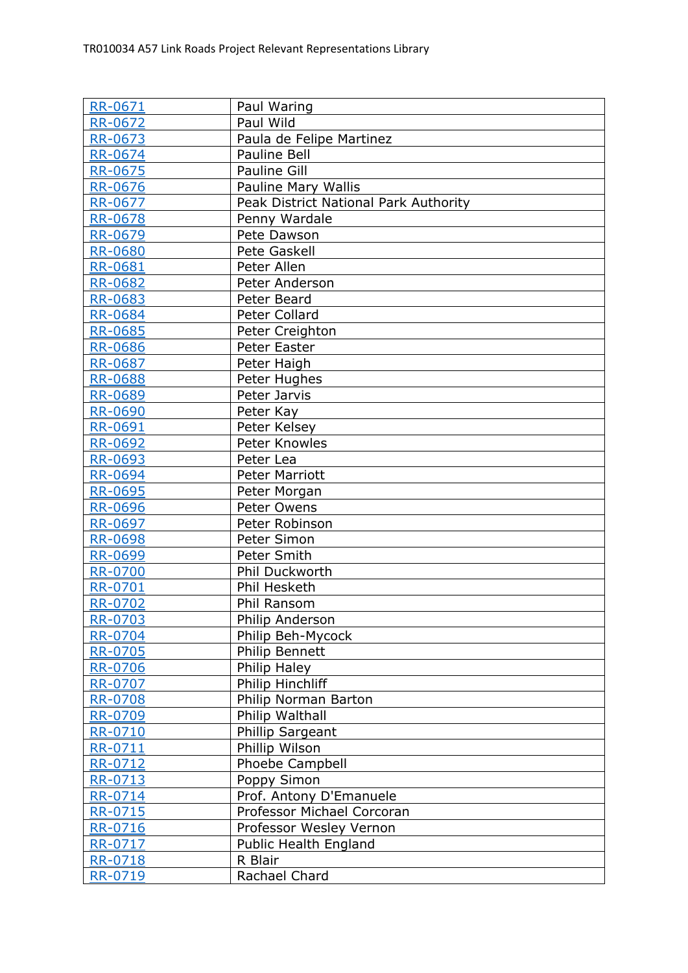| <b>RR-0671</b>     | Paul Waring                           |
|--------------------|---------------------------------------|
| <b>RR-0672</b>     | Paul Wild                             |
| RR-0673            | Paula de Felipe Martinez              |
| <b>RR-0674</b>     | <b>Pauline Bell</b>                   |
| RR-0675            | Pauline Gill                          |
| RR-0676            | Pauline Mary Wallis                   |
| RR-0677            | Peak District National Park Authority |
| RR-0678            | Penny Wardale                         |
| RR-0679            | Pete Dawson                           |
| <b>RR-0680</b>     | Pete Gaskell                          |
| RR-0681            | Peter Allen                           |
| RR-0682            | Peter Anderson                        |
| RR-0683            | Peter Beard                           |
| <b>RR-0684</b>     | Peter Collard                         |
| <b>RR-0685</b>     | Peter Creighton                       |
| <b>RR-0686</b>     | Peter Easter                          |
| <b>RR-0687</b>     | Peter Haigh                           |
| RR-0688            | Peter Hughes                          |
| RR-0689            | Peter Jarvis                          |
| <b>RR-0690</b>     | Peter Kay                             |
| RR-0691            | Peter Kelsey                          |
| RR-0692            | Peter Knowles                         |
| RR-0693            | Peter Lea                             |
| <b>RR-0694</b>     | <b>Peter Marriott</b>                 |
| <b>RR-0695</b>     | Peter Morgan                          |
| RR-0696            | Peter Owens                           |
| <b>RR-0697</b>     | Peter Robinson                        |
| RR-0698            | Peter Simon                           |
| <b>RR-0699</b>     | Peter Smith                           |
| <b>RR-0700</b>     | Phil Duckworth                        |
| RR-0701            | Phil Hesketh                          |
| <b>RR-0702</b>     | Phil Ransom                           |
| <b>RR-0703</b>     | Philip Anderson                       |
| RR-0704<br>RR-0705 | Philip Beh-Mycock<br>Philip Bennett   |
| <b>RR-0706</b>     | Philip Haley                          |
| RR-0707            | Philip Hinchliff                      |
| RR-0708            | Philip Norman Barton                  |
| RR-0709            | Philip Walthall                       |
| RR-0710            | Phillip Sargeant                      |
| RR-0711            | Phillip Wilson                        |
| RR-0712            | Phoebe Campbell                       |
| <u>RR-0713</u>     | Poppy Simon                           |
| RR-0714            | Prof. Antony D'Emanuele               |
| RR-0715            | Professor Michael Corcoran            |
| RR-0716            | Professor Wesley Vernon               |
| RR-0717            | Public Health England                 |
| RR-0718            | R Blair                               |
| <b>RR-0719</b>     | Rachael Chard                         |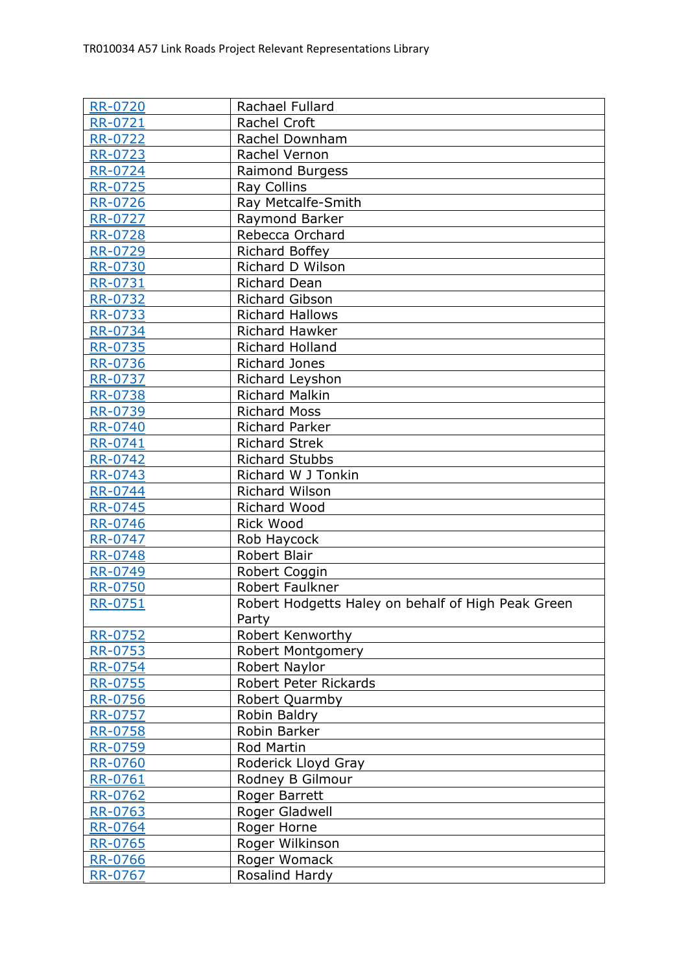| <b>RR-0720</b> | Rachael Fullard                                    |
|----------------|----------------------------------------------------|
| RR-0721        | Rachel Croft                                       |
| RR-0722        | Rachel Downham                                     |
| RR-0723        | Rachel Vernon                                      |
| <b>RR-0724</b> | Raimond Burgess                                    |
| RR-0725        | Ray Collins                                        |
|                | Ray Metcalfe-Smith                                 |
| RR-0726        |                                                    |
| <b>RR-0727</b> | Raymond Barker                                     |
| <b>RR-0728</b> | Rebecca Orchard                                    |
| <b>RR-0729</b> | Richard Boffey                                     |
| <b>RR-0730</b> | Richard D Wilson                                   |
| RR-0731        | Richard Dean                                       |
| RR-0732        | <b>Richard Gibson</b>                              |
| RR-0733        | <b>Richard Hallows</b>                             |
| <b>RR-0734</b> | <b>Richard Hawker</b>                              |
| RR-0735        | Richard Holland                                    |
| <b>RR-0736</b> | <b>Richard Jones</b>                               |
| RR-0737        | Richard Leyshon                                    |
| RR-0738        | Richard Malkin                                     |
| RR-0739        | <b>Richard Moss</b>                                |
| RR-0740        | <b>Richard Parker</b>                              |
| RR-0741        | <b>Richard Strek</b>                               |
| <b>RR-0742</b> | <b>Richard Stubbs</b>                              |
| RR-0743        | Richard W J Tonkin                                 |
| RR-0744        | Richard Wilson                                     |
| <b>RR-0745</b> | Richard Wood                                       |
| RR-0746        | <b>Rick Wood</b>                                   |
| RR-0747        | Rob Haycock                                        |
| <b>RR-0748</b> | Robert Blair                                       |
| <b>RR-0749</b> | Robert Coggin                                      |
| <b>RR-0750</b> | Robert Faulkner                                    |
| <b>RR-0751</b> | Robert Hodgetts Haley on behalf of High Peak Green |
|                | Party                                              |
| <b>RR-0752</b> | Robert Kenworthy                                   |
| RR-0753        | Robert Montgomery                                  |
| <b>RR-0754</b> | Robert Naylor                                      |
| RR-0755        | Robert Peter Rickards                              |
| RR-0756        | Robert Quarmby                                     |
| <b>RR-0757</b> | Robin Baldry                                       |
| RR-0758        | Robin Barker                                       |
| RR-0759        | Rod Martin                                         |
| <b>RR-0760</b> | Roderick Lloyd Gray                                |
| RR-0761        | Rodney B Gilmour                                   |
| RR-0762        | Roger Barrett                                      |
| RR-0763        | Roger Gladwell                                     |
| RR-0764        | Roger Horne                                        |
| RR-0765        | Roger Wilkinson                                    |
| RR-0766        | Roger Womack                                       |
| RR-0767        | Rosalind Hardy                                     |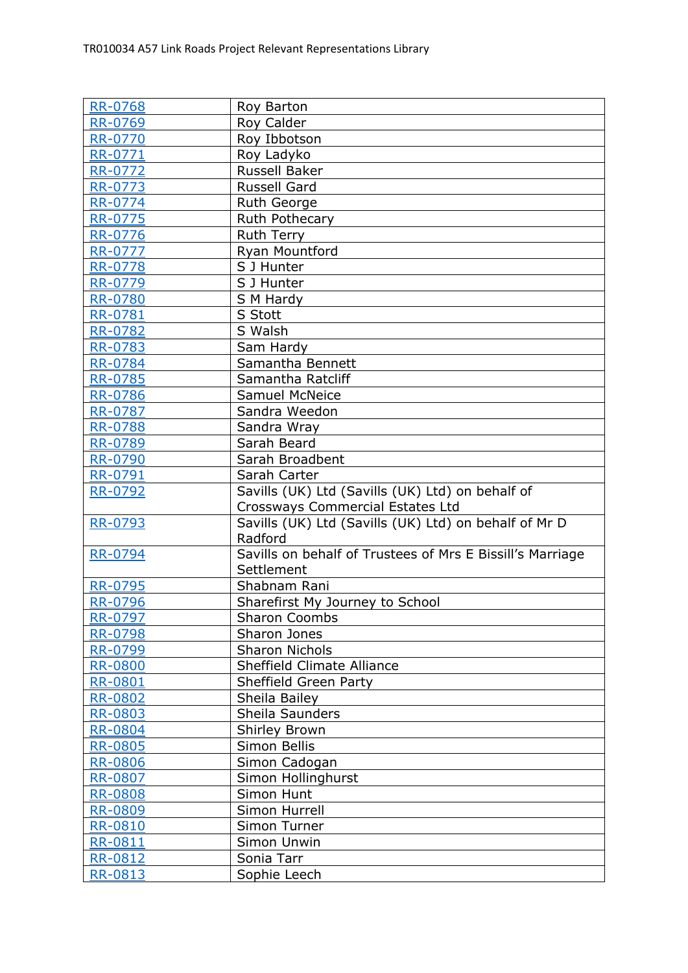| <b>RR-0768</b> | Roy Barton                                                           |
|----------------|----------------------------------------------------------------------|
| RR-0769        | Roy Calder                                                           |
| <b>RR-0770</b> | Roy Ibbotson                                                         |
| RR-0771        | Roy Ladyko                                                           |
| RR-0772        | Russell Baker                                                        |
| RR-0773        | <b>Russell Gard</b>                                                  |
| RR-0774        | Ruth George                                                          |
| <b>RR-0775</b> | Ruth Pothecary                                                       |
| <b>RR-0776</b> | Ruth Terry                                                           |
| RR-0777        | Ryan Mountford                                                       |
| RR-0778        | S J Hunter                                                           |
| RR-0779        | S J Hunter                                                           |
| RR-0780        | S M Hardy                                                            |
| <b>RR-0781</b> | S Stott                                                              |
| <b>RR-0782</b> | S Walsh                                                              |
| RR-0783        | Sam Hardy                                                            |
| RR-0784        | Samantha Bennett                                                     |
| RR-0785        | Samantha Ratcliff                                                    |
| <b>RR-0786</b> | <b>Samuel McNeice</b>                                                |
| RR-0787        | Sandra Weedon                                                        |
| <b>RR-0788</b> | Sandra Wray                                                          |
| RR-0789        | Sarah Beard                                                          |
| RR-0790        | Sarah Broadbent                                                      |
| RR-0791        | Sarah Carter                                                         |
| RR-0792        | Savills (UK) Ltd (Savills (UK) Ltd) on behalf of                     |
|                | Crossways Commercial Estates Ltd                                     |
| <b>RR-0793</b> | Savills (UK) Ltd (Savills (UK) Ltd) on behalf of Mr D                |
|                | Radford<br>Savills on behalf of Trustees of Mrs E Bissill's Marriage |
| <b>RR-0794</b> | Settlement                                                           |
| <b>RR-0795</b> | Shabnam Rani                                                         |
| RR-0796        | Sharefirst My Journey to School                                      |
| RR-0797        | <b>Sharon Coombs</b>                                                 |
| RR-0798        | Sharon Jones                                                         |
| <u>RR-0799</u> | <b>Sharon Nichols</b>                                                |
| <b>RR-0800</b> | Sheffield Climate Alliance                                           |
| <b>RR-0801</b> | Sheffield Green Party                                                |
| RR-0802        | Sheila Bailey                                                        |
| RR-0803        | Sheila Saunders                                                      |
| <b>RR-0804</b> | <b>Shirley Brown</b>                                                 |
| <b>RR-0805</b> | Simon Bellis                                                         |
| <b>RR-0806</b> | Simon Cadogan                                                        |
| RR-0807        | Simon Hollinghurst                                                   |
| RR-0808        | Simon Hunt                                                           |
| RR-0809        | Simon Hurrell                                                        |
| RR-0810        | Simon Turner                                                         |
| RR-0811        | Simon Unwin                                                          |
| RR-0812        | Sonia Tarr                                                           |
| RR-0813        | Sophie Leech                                                         |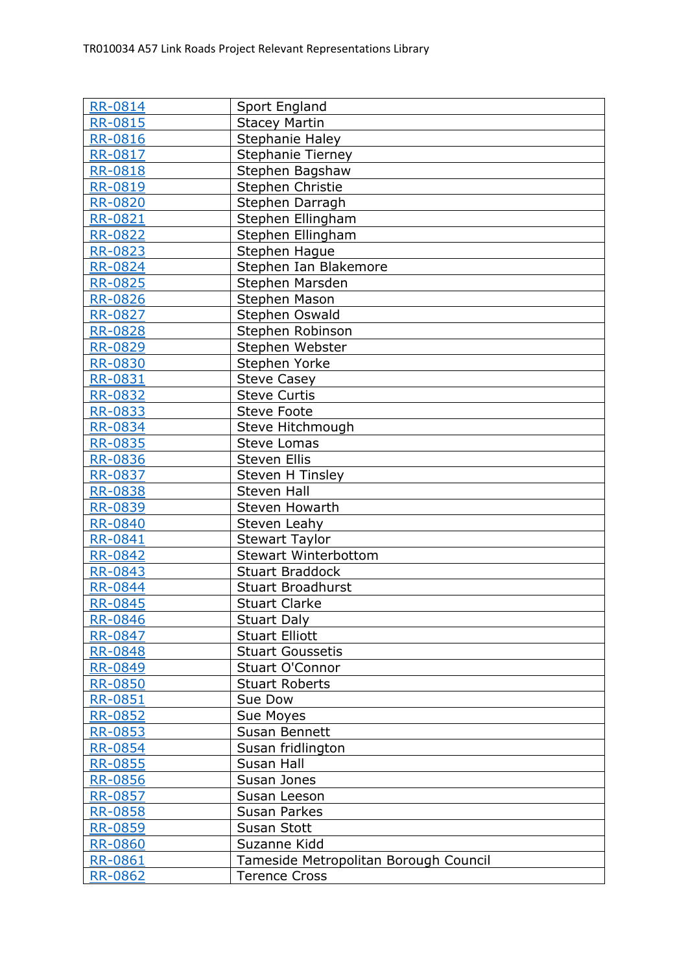| <b>RR-0814</b> | Sport England                         |
|----------------|---------------------------------------|
| <b>RR-0815</b> | <b>Stacey Martin</b>                  |
| RR-0816        | Stephanie Haley                       |
| RR-0817        | <b>Stephanie Tierney</b>              |
| RR-0818        | Stephen Bagshaw                       |
| RR-0819        | Stephen Christie                      |
| <b>RR-0820</b> | Stephen Darragh                       |
| <b>RR-0821</b> | Stephen Ellingham                     |
| <b>RR-0822</b> | Stephen Ellingham                     |
| <b>RR-0823</b> | Stephen Hague                         |
| <b>RR-0824</b> | Stephen Ian Blakemore                 |
| RR-0825        | Stephen Marsden                       |
| <b>RR-0826</b> | Stephen Mason                         |
| <b>RR-0827</b> | Stephen Oswald                        |
| <b>RR-0828</b> | Stephen Robinson                      |
| RR-0829        | Stephen Webster                       |
| <b>RR-0830</b> | Stephen Yorke                         |
| RR-0831        | <b>Steve Casey</b>                    |
| RR-0832        | <b>Steve Curtis</b>                   |
| RR-0833        | <b>Steve Foote</b>                    |
| RR-0834        | Steve Hitchmough                      |
| <b>RR-0835</b> | <b>Steve Lomas</b>                    |
| <b>RR-0836</b> | Steven Ellis                          |
| <b>RR-0837</b> | Steven H Tinsley                      |
| RR-0838        | <b>Steven Hall</b>                    |
| RR-0839        | Steven Howarth                        |
| <b>RR-0840</b> | Steven Leahy                          |
| RR-0841        | <b>Stewart Taylor</b>                 |
| <b>RR-0842</b> | <b>Stewart Winterbottom</b>           |
| <b>RR-0843</b> | <b>Stuart Braddock</b>                |
| <b>RR-0844</b> | <b>Stuart Broadhurst</b>              |
| <b>RR-0845</b> | <b>Stuart Clarke</b>                  |
| RR-0846        | <b>Stuart Daly</b>                    |
| <b>RR-0847</b> | <b>Stuart Elliott</b>                 |
| <b>RR-0848</b> | <b>Stuart Goussetis</b>               |
| RR-0849        | <b>Stuart O'Connor</b>                |
| RR-0850        | <b>Stuart Roberts</b>                 |
| RR-0851        | Sue Dow                               |
| RR-0852        | Sue Moyes                             |
| RR-0853        | Susan Bennett                         |
| RR-0854        | Susan fridlington                     |
| <b>RR-0855</b> | Susan Hall                            |
| <u>RR-0856</u> | Susan Jones                           |
| RR-0857        | Susan Leeson                          |
| RR-0858        | <b>Susan Parkes</b>                   |
| RR-0859        | Susan Stott                           |
| <b>RR-0860</b> | Suzanne Kidd                          |
| RR-0861        | Tameside Metropolitan Borough Council |
| <b>RR-0862</b> | <b>Terence Cross</b>                  |